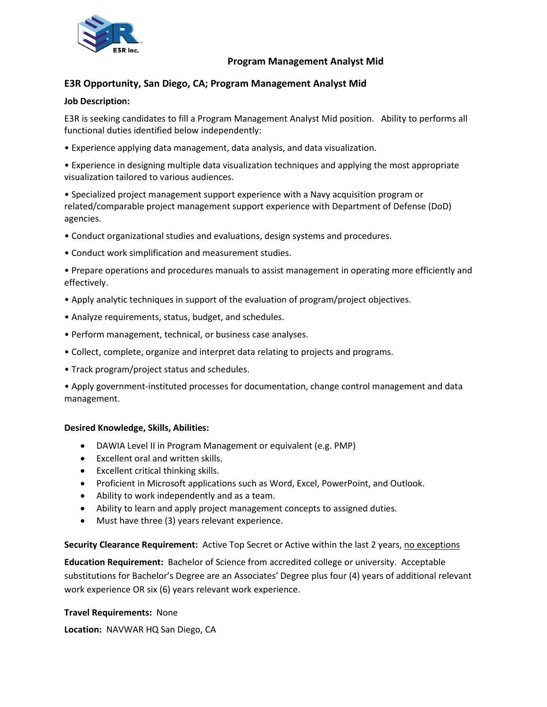

## **Program Management Analyst Mid**

# **E3R Opportunity, San Diego, CA; Program Management Analyst Mid**

#### **Job Description:**

E3R is seeking candidates to fill a Program Management Analyst Mid position. Ability to performs all functional duties identified below independently:

• Experience applying data management, data analysis, and data visualization.

• Experience in designing multiple data visualization techniques and applying the most appropriate visualization tailored to various audiences.

• Specialized project management support experience with a Navy acquisition program or related/comparable project management support experience with Department of Defense (DoD) agencies.

- Conduct organizational studies and evaluations, design systems and procedures.
- Conduct work simplification and measurement studies.
- Prepare operations and procedures manuals to assist management in operating more efficiently and effectively.
- Apply analytic techniques in support of the evaluation of program/project objectives.
- Analyze requirements, status, budget, and schedules.
- Perform management, technical, or business case analyses.
- Collect, complete, organize and interpret data relating to projects and programs.
- Track program/project status and schedules.

• Apply government-instituted processes for documentation, change control management and data management.

#### **Desired Knowledge, Skills, Abilities:**

- DAWIA Level II in Program Management or equivalent (e.g. PMP)
- Excellent oral and written skills.
- Excellent critical thinking skills.
- Proficient in Microsoft applications such as Word, Excel, PowerPoint, and Outlook.
- Ability to work independently and as a team.
- Ability to learn and apply project management concepts to assigned duties.
- Must have three (3) years relevant experience.

#### **Security Clearance Requirement:** Active Top Secret or Active within the last 2 years, no exceptions

**Education Requirement:** Bachelor of Science from accredited college or university. Acceptable substitutions for Bachelor's Degree are an Associates' Degree plus four (4) years of additional relevant work experience OR six (6) years relevant work experience.

#### **Travel Requirements:** None

**Location:** NAVWAR HQ San Diego, CA